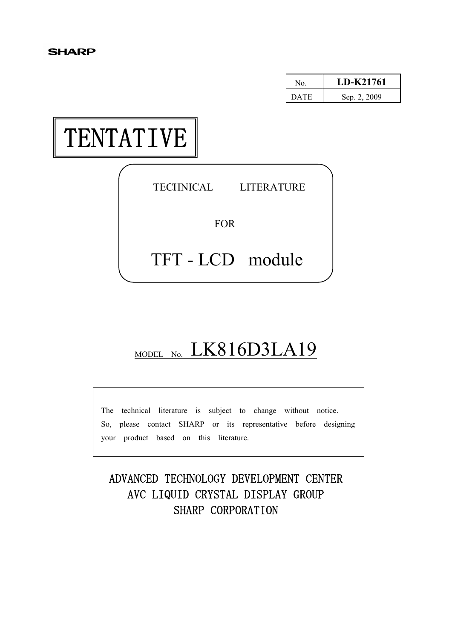| No.         | LD-K21761    |
|-------------|--------------|
| <b>DATE</b> | Sep. 2, 2009 |

# TENTATIVE | TECHNICAL LITERATURE FOR TFT - LCD module

# MODEL NO. LK816D3LA19

The technical literature is subject to change without notice. So, please contact SHARP or its representative before designing your product based on this literature.

ADVANCED TECHNOLOGY DEVELOPMENT CENTER AVC LIQUID CRYSTAL DISPLAY GROUP SHARP CORPORATION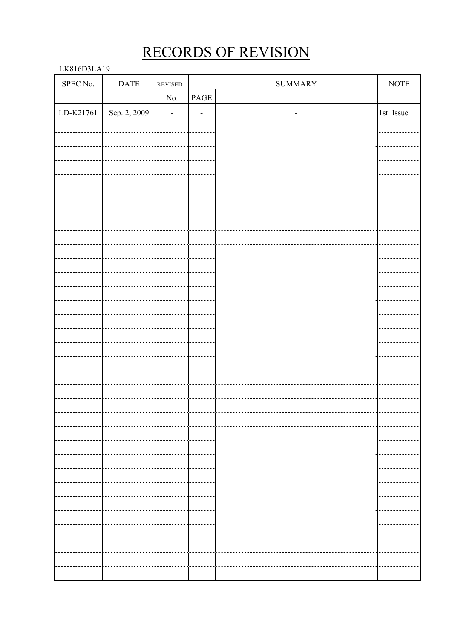## RECORDS OF REVISION

### LK816D3LA19

| ${\rm SPEC}$ No. | $\mathop{\mathrm{DATE}}$ | REVISED                  | $\operatorname{SUMMARY}$ |                          | $\operatorname{NOTE}$ |
|------------------|--------------------------|--------------------------|--------------------------|--------------------------|-----------------------|
|                  |                          | $\rm No.$                | $\mathop{\mathrm{PAGE}}$ |                          |                       |
| LD-K21761        | Sep. 2, 2009             | $\overline{\phantom{a}}$ | $\overline{\phantom{a}}$ | $\overline{\phantom{a}}$ | 1st. Issue            |
|                  |                          |                          |                          |                          |                       |
|                  |                          |                          |                          |                          |                       |
|                  |                          |                          |                          |                          |                       |
|                  |                          |                          |                          |                          |                       |
|                  |                          |                          |                          |                          |                       |
|                  |                          |                          |                          |                          |                       |
|                  |                          |                          |                          |                          |                       |
|                  |                          |                          |                          |                          |                       |
|                  |                          |                          |                          |                          |                       |
|                  |                          |                          |                          |                          |                       |
|                  |                          |                          |                          |                          |                       |
|                  |                          |                          |                          |                          |                       |
|                  |                          |                          |                          |                          |                       |
|                  |                          |                          |                          |                          |                       |
|                  |                          |                          |                          |                          |                       |
|                  |                          |                          |                          |                          |                       |
|                  |                          |                          |                          |                          |                       |
|                  |                          |                          |                          |                          |                       |
|                  |                          |                          |                          |                          |                       |
|                  |                          |                          |                          |                          |                       |
|                  |                          |                          |                          |                          |                       |
|                  |                          |                          |                          |                          |                       |
|                  |                          |                          |                          |                          |                       |
|                  |                          |                          |                          |                          |                       |
|                  |                          |                          |                          |                          |                       |
|                  |                          |                          |                          |                          |                       |
|                  |                          |                          |                          |                          |                       |
|                  |                          |                          |                          |                          |                       |
|                  |                          |                          |                          |                          |                       |
|                  |                          |                          |                          |                          |                       |
|                  |                          |                          |                          |                          |                       |
|                  |                          |                          |                          |                          |                       |
|                  |                          |                          |                          |                          |                       |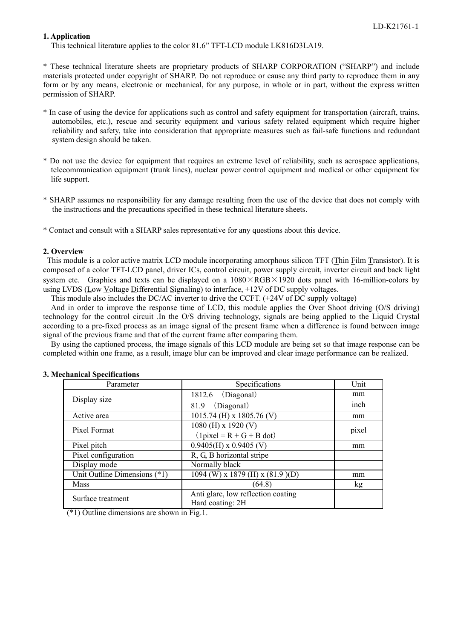#### **1. Application**

This technical literature applies to the color 81.6" TFT-LCD module LK816D3LA19.

\* These technical literature sheets are proprietary products of SHARP CORPORATION ("SHARP") and include materials protected under copyright of SHARP. Do not reproduce or cause any third party to reproduce them in any form or by any means, electronic or mechanical, for any purpose, in whole or in part, without the express written permission of SHARP.

- \* In case of using the device for applications such as control and safety equipment for transportation (aircraft, trains, automobiles, etc.), rescue and security equipment and various safety related equipment which require higher reliability and safety, take into consideration that appropriate measures such as fail-safe functions and redundant system design should be taken.
- \* Do not use the device for equipment that requires an extreme level of reliability, such as aerospace applications, telecommunication equipment (trunk lines), nuclear power control equipment and medical or other equipment for life support.
- \* SHARP assumes no responsibility for any damage resulting from the use of the device that does not comply with the instructions and the precautions specified in these technical literature sheets.
- \* Contact and consult with a SHARP sales representative for any questions about this device.

#### **2. Overview**

 This module is a color active matrix LCD module incorporating amorphous silicon TFT (Thin Film Transistor). It is composed of a color TFT-LCD panel, driver ICs, control circuit, power supply circuit, inverter circuit and back light system etc. Graphics and texts can be displayed on a  $1080 \times RGB \times 1920$  dots panel with 16-million-colors by using LVDS (Low Voltage Differential Signaling) to interface, +12V of DC supply voltages.

This module also includes the DC/AC inverter to drive the CCFT. (+24V of DC supply voltage)

And in order to improve the response time of LCD, this module applies the Over Shoot driving (O/S driving) technology for the control circuit .In the O/S driving technology, signals are being applied to the Liquid Crystal according to a pre-fixed process as an image signal of the present frame when a difference is found between image signal of the previous frame and that of the current frame after comparing them.

By using the captioned process, the image signals of this LCD module are being set so that image response can be completed within one frame, as a result, image blur can be improved and clear image performance can be realized.

| Parameter                    | Specifications                                         | Unit  |
|------------------------------|--------------------------------------------------------|-------|
| Display size                 | $1812.6$ (Diagonal)                                    | mm    |
|                              | (Diagonal)<br>81.9                                     | inch  |
| Active area                  | 1015.74 (H) x 1805.76 (V)                              | mm    |
| Pixel Format                 | 1080 (H) x 1920 (V)                                    |       |
|                              | $(1$ pixel = R + G + B dot)                            | pixel |
| Pixel pitch                  | $0.9405(H)$ x 0.9405 (V)                               | mm    |
| Pixel configuration          | R, G, B horizontal stripe                              |       |
| Display mode                 | Normally black                                         |       |
| Unit Outline Dimensions (*1) | 1094 (W) x 1879 (H) x $(81.9)(D)$                      | mm    |
| Mass                         | (64.8)                                                 | kg    |
| Surface treatment            | Anti glare, low reflection coating<br>Hard coating: 2H |       |
|                              |                                                        |       |

#### **3. Mechanical Specifications**

(\*1) Outline dimensions are shown in Fig.1.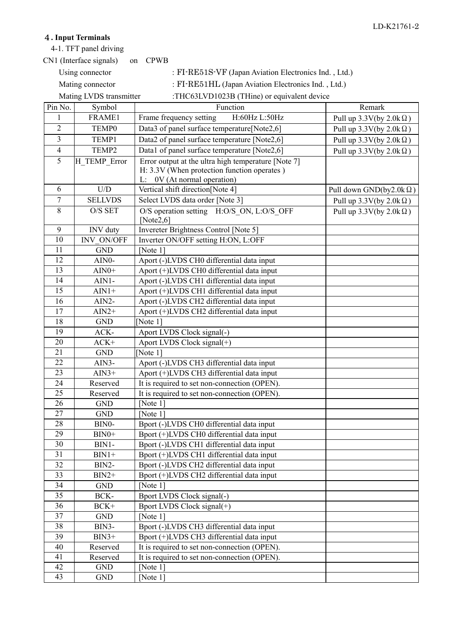### 㧠**. Input Terminals**

4-1. TFT panel driving

|                      | CN1 (Interface signals) | <b>CPWB</b><br>on                                                                      |                                   |
|----------------------|-------------------------|----------------------------------------------------------------------------------------|-----------------------------------|
|                      | Using connector         | : FI-RE51S-VF (Japan Aviation Electronics Ind., Ltd.)                                  |                                   |
|                      | Mating connector        | : FI-RE51HL (Japan Aviation Electronics Ind., Ltd.)                                    |                                   |
|                      | Mating LVDS transmitter | :THC63LVD1023B (THine) or equivalent device                                            |                                   |
| $\overline{Pin}$ No. | Symbol                  | Function                                                                               | Remark                            |
| 1                    | FRAME1                  | Frame frequency setting<br>H:60Hz L:50Hz                                               | Pull up $3.3V$ (by $2.0k\Omega$ ) |
| $\overline{2}$       | <b>TEMP0</b>            | Data3 of panel surface temperature[Note2,6]                                            | Pull up $3.3V$ (by $2.0k\Omega$ ) |
| 3                    | TEMP1                   | Data2 of panel surface temperature [Note2,6]                                           | Pull up $3.3V$ (by $2.0k\Omega$ ) |
| $\overline{4}$       | TEMP2                   | Data1 of panel surface temperature [Note2,6]                                           | Pull up $3.3V$ (by $2.0k\Omega$ ) |
| 5                    | H_TEMP_Error            | Error output at the ultra high temperature [Note 7]                                    |                                   |
|                      |                         | H: 3.3V (When protection function operates)                                            |                                   |
|                      |                         | L: 0V (At normal operation)                                                            |                                   |
| 6                    | $\rm U/D$               | Vertical shift direction[Note 4]                                                       | Pull down GND(by2.0k $\Omega$ )   |
| $\tau$               | <b>SELLVDS</b>          | Select LVDS data order [Note 3]                                                        | Pull up $3.3V$ (by $2.0k\Omega$ ) |
| 8                    | O/S SET                 | O/S operation setting H:O/S ON, L:O/S OFF                                              | Pull up $3.3V$ (by $2.0k\Omega$ ) |
|                      |                         | [Note $2,6$ ]                                                                          |                                   |
| 9                    | <b>INV</b> duty         | Invereter Brightness Control [Note 5]                                                  |                                   |
| 10                   | <b>INV ON/OFF</b>       | Inverter ON/OFF setting H:ON, L:OFF                                                    |                                   |
| 11                   | <b>GND</b>              | [Note $1$ ]                                                                            |                                   |
| 12                   | AIN0-                   | Aport (-)LVDS CH0 differential data input                                              |                                   |
| 13                   | $AIN0+$                 | Aport (+)LVDS CH0 differential data input                                              |                                   |
| 14                   | $AIN1-$                 | Aport (-)LVDS CH1 differential data input                                              |                                   |
| 15                   | $AIN1+$                 | Aport (+)LVDS CH1 differential data input                                              |                                   |
| 16                   | $AIN2-$                 | Aport (-)LVDS CH2 differential data input                                              |                                   |
| 17<br>18             | $AIN2+$                 | Aport (+)LVDS CH2 differential data input                                              |                                   |
| 19                   | <b>GND</b>              | [Note $1$ ]                                                                            |                                   |
| 20                   | ACK-                    | Aport LVDS Clock signal(-)                                                             |                                   |
| 21                   | $ACK+$                  | Aport LVDS Clock signal(+)<br>[Note $1$ ]                                              |                                   |
| 22                   | <b>GND</b><br>AIN3-     |                                                                                        |                                   |
| 23                   | $AIN3+$                 | Aport (-)LVDS CH3 differential data input<br>Aport (+)LVDS CH3 differential data input |                                   |
| 24                   | Reserved                | It is required to set non-connection (OPEN).                                           |                                   |
| 25                   | Reserved                | It is required to set non-connection (OPEN).                                           |                                   |
| 26                   | <b>GND</b>              | [Note $1$ ]                                                                            |                                   |
| 27                   | <b>GND</b>              | [Note $1$ ]                                                                            |                                   |
| 28                   | BIN0-                   | Bport (-)LVDS CH0 differential data input                                              |                                   |
| 29                   | $BIN0+$                 | Bport (+)LVDS CH0 differential data input                                              |                                   |
| 30                   | BIN1-                   | Bport (-)LVDS CH1 differential data input                                              |                                   |
| 31                   | $BIN1+$                 | Bport (+)LVDS CH1 differential data input                                              |                                   |
| 32                   | BIN2-                   | Bport (-)LVDS CH2 differential data input                                              |                                   |
| 33                   | $BIN2+$                 | Bport (+)LVDS CH2 differential data input                                              |                                   |
| 34                   | <b>GND</b>              | [Note 1]                                                                               |                                   |
| 35                   | BCK-                    | Bport LVDS Clock signal(-)                                                             |                                   |
| 36                   | $BCK+$                  | Bport LVDS Clock signal(+)                                                             |                                   |
| 37                   | <b>GND</b>              | [Note $1$ ]                                                                            |                                   |
| 38                   | BIN3-                   | Bport (-)LVDS CH3 differential data input                                              |                                   |
| 39                   | $BIN3+$                 | Bport (+)LVDS CH3 differential data input                                              |                                   |
| 40                   | Reserved                | It is required to set non-connection (OPEN).                                           |                                   |
| 41                   | Reserved                | It is required to set non-connection (OPEN).                                           |                                   |
| 42                   | <b>GND</b>              | [Note $1$ ]                                                                            |                                   |
| 43                   | <b>GND</b>              | [Note $1$ ]                                                                            |                                   |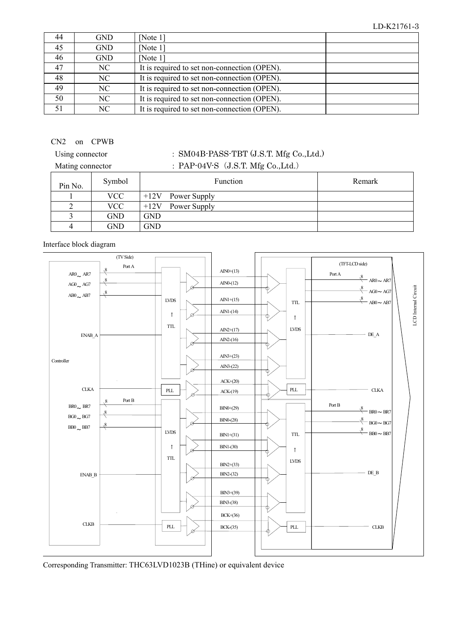| 44 | GND | [Note $1$ ]                                  |
|----|-----|----------------------------------------------|
| 45 | GND | [Note $1$ ]                                  |
| 46 | GND | [Note $1$ ]                                  |
| 47 | NC  | It is required to set non-connection (OPEN). |
| 48 | NC  | It is required to set non-connection (OPEN). |
| 49 | NC  | It is required to set non-connection (OPEN). |
| 50 | NC  | It is required to set non-connection (OPEN). |
| 51 | NC  | It is required to set non-connection (OPEN). |

#### CN2 on CPWB

### Using connector : SM04B-PASS-TBT (J.S.T. Mfg Co., Ltd.) Mating connector : PAP-04V-S (J.S.T. Mfg Co.,Ltd.)

| Pin No. | Symbol     | Function               | Remark |
|---------|------------|------------------------|--------|
|         | VCC        | $+12V$ Power Supply    |        |
|         | <b>VCC</b> | $+12V$<br>Power Supply |        |
|         | <b>GND</b> | <b>GND</b>             |        |
|         | <b>GND</b> | <b>GND</b>             |        |

#### Interface block diagram



Corresponding Transmitter: THC63LVD1023B (THine) or equivalent device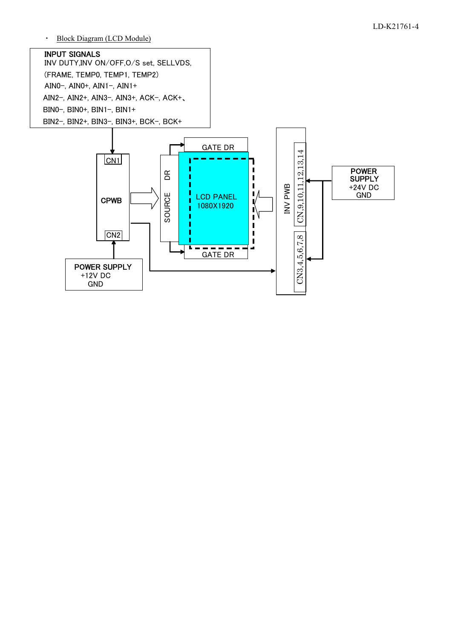-Block Diagram (LCD Module)

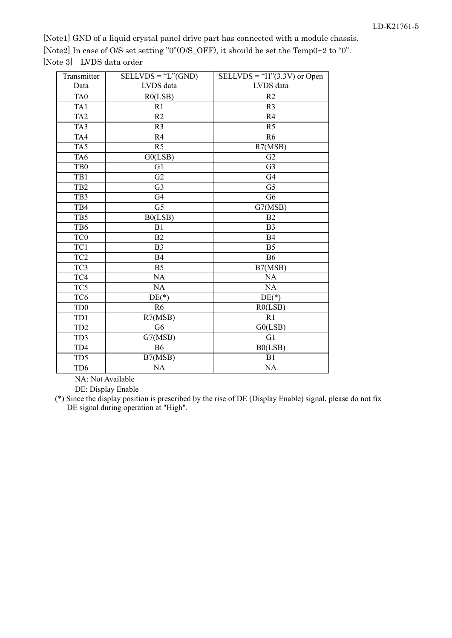[Note1] GND of a liquid crystal panel drive part has connected with a module chassis. [Note2] In case of O/S set setting "0"(O/S\_OFF), it should be set the Temp0~2 to "0". [Note 3] LVDS data order

| Transmitter     | $SELLVDS = "L"(GND)$ | $SELLVDS = "H"(3.3V)$ or Open |
|-----------------|----------------------|-------------------------------|
| Data            | LVDS data            | LVDS data                     |
| TA <sub>0</sub> | R0(LSB)              | R2                            |
| TA1             | R1                   | R <sub>3</sub>                |
| TA <sub>2</sub> | R2                   | R4                            |
| TA3             | R <sub>3</sub>       | R <sub>5</sub>                |
| TA4             | R4                   | R <sub>6</sub>                |
| TA5             | R <sub>5</sub>       | R7(MSB)                       |
| TA6             | G0(LSB)              | G2                            |
| TB <sub>0</sub> | G1                   | G <sub>3</sub>                |
| TB1             | G2                   | G <sub>4</sub>                |
| TB <sub>2</sub> | G <sub>3</sub>       | G <sub>5</sub>                |
| TB3             | G4                   | G <sub>6</sub>                |
| TB4             | $\overline{G5}$      | G7(MSB)                       |
| TB5             | B0(LSB)              | B2                            |
| TB6             | B1                   | B <sub>3</sub>                |
| TC <sub>0</sub> | B2                   | <b>B4</b>                     |
| TC1             | B <sub>3</sub>       | B <sub>5</sub>                |
| TC <sub>2</sub> | <b>B4</b>            | <b>B6</b>                     |
| TC <sub>3</sub> | B <sub>5</sub>       | B7(MSB)                       |
| TC4             | NA                   | NA                            |
| TC5             | $\overline{NA}$      | $\overline{NA}$               |
| TC <sub>6</sub> | $DE(*)$              | $DE(*)$                       |
| TD <sub>0</sub> | R <sub>6</sub>       | R0(LSB)                       |
| TD1             | R7(MSB)              | R1                            |
| TD <sub>2</sub> | $\overline{G6}$      | G0(LSB)                       |
| TD3             | G7(MSB)              | G1                            |
| TD4             | <b>B6</b>            | B0(LSB)                       |
| TD5             | B7(MSB)              | B1                            |
| TD <sub>6</sub> | <b>NA</b>            | <b>NA</b>                     |

NA: Not Available

DE: Display Enable

(\*) Since the display position is prescribed by the rise of DE (Display Enable) signal, please do not fix DE signal during operation at "High".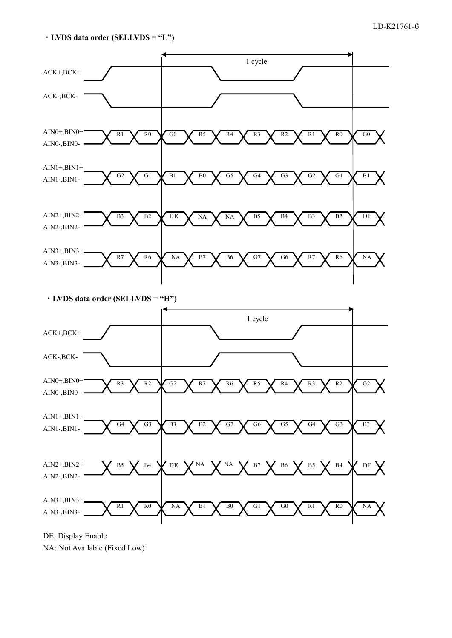



DE: Display Enable

NA: Not Available (Fixed Low)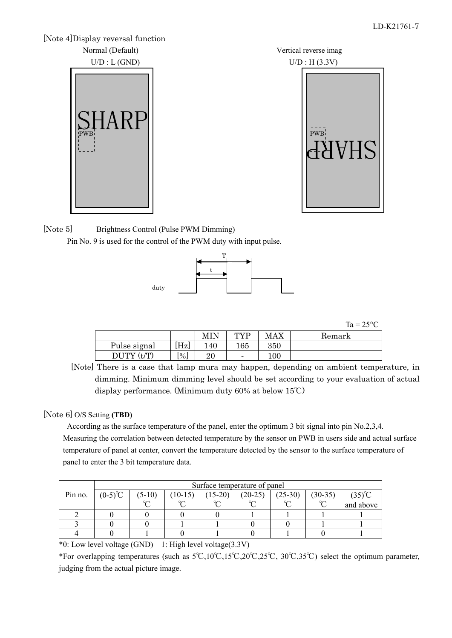#### [Note 4]Display reversal function



[Note 5] Brightness Control (Pulse PWM Dimming) Pin No. 9 is used for the control of the PWM duty with input pulse.



 $Ta = 25^{\circ}C$ 

|                            |              | <b>MIN</b> | TVD                      | MAX | Kemark |
|----------------------------|--------------|------------|--------------------------|-----|--------|
| Pulse signal               | Гт т.<br>Hzi | 140        | $165\,$                  | 350 |        |
| $\rm (t/T)$<br><b>DUTY</b> | [%]          | 20         | $\overline{\phantom{0}}$ | 100 |        |

<sup>[</sup>Note] There is a case that lamp mura may happen, depending on ambient temperature, in dimming. Minimum dimming level should be set according to your evaluation of actual display performance. (Minimum duty  $60\%$  at below  $15^{\circ}$ C)

#### [Note 6] O/S Setting **(TBD)**

According as the surface temperature of the panel, enter the optimum 3 bit signal into pin No.2,3,4. Measuring the correlation between detected temperature by the sensor on PWB in users side and actual surface temperature of panel at center, convert the temperature detected by the sensor to the surface temperature of panel to enter the 3 bit temperature data.

|         |            | Surface temperature of panel |           |           |           |           |           |           |
|---------|------------|------------------------------|-----------|-----------|-----------|-----------|-----------|-----------|
| Pin no. | $(0-5)$ °C | $(5-10)$                     | $(10-15)$ | $(15-20)$ | $(20-25)$ | $(25-30)$ | $(30-35)$ | $(35)$ °C |
|         |            | $\sim$                       | $\sim$    | $\sim$    | $\circ$   | $\circ$   | $\sim$    | and above |
|         |            |                              |           |           |           |           |           |           |
|         |            |                              |           |           |           |           |           |           |
|         |            |                              |           |           |           |           |           |           |

\*0: Low level voltage (GND) 1: High level voltage(3.3V)

\*For overlapping temperatures (such as  $5^{\circ}C,10^{\circ}C,15^{\circ}C,20^{\circ}C,25^{\circ}C,30^{\circ}C,35^{\circ}C$ ) select the optimum parameter, judging from the actual picture image.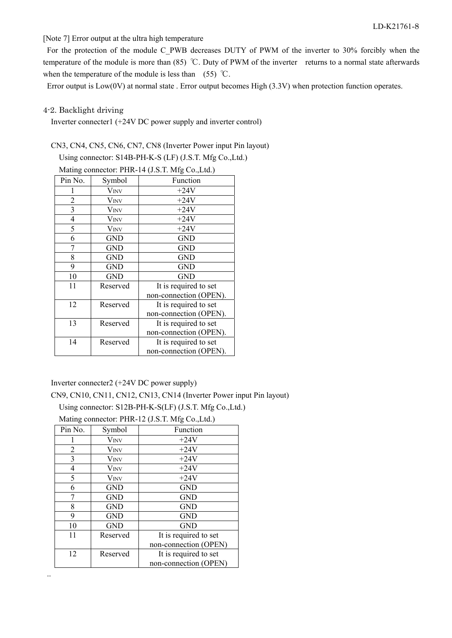[Note 7] Error output at the ultra high temperature

For the protection of the module C\_PWB decreases DUTY of PWM of the inverter to 30% forcibly when the temperature of the module is more than  $(85)$  °C. Duty of PWM of the inverter returns to a normal state afterwards when the temperature of the module is less than (55)  $^{\circ}$ C.

Error output is Low(0V) at normal state . Error output becomes High (3.3V) when protection function operates.

#### 4-2. Backlight driving

Inverter connecter1 (+24V DC power supply and inverter control)

## CN3, CN4, CN5, CN6, CN7, CN8 (Inverter Power input Pin layout)

Using connector: S14B-PH-K-S (LF) (J.S.T. Mfg Co.,Ltd.)

| Mating connector: PHR-14 (J.S.T. Mfg Co., Ltd.) |                         |                        |  |  |
|-------------------------------------------------|-------------------------|------------------------|--|--|
| Pin No.                                         | Symbol                  | Function               |  |  |
| 1                                               | V <sub>INV</sub>        | $+24V$                 |  |  |
| 2                                               | V <sub>INV</sub>        | $+24V$                 |  |  |
| 3                                               | V <sub>INV</sub>        | $+24V$                 |  |  |
| $\overline{4}$                                  | <b>V</b> <sub>INV</sub> | $+24V$                 |  |  |
| 5                                               | V <sub>INV</sub>        | $+24V$                 |  |  |
| 6                                               | GND                     | GND                    |  |  |
| 7                                               | GND                     | <b>GND</b>             |  |  |
| 8                                               | GND                     | GND                    |  |  |
| 9                                               | GND                     | GND                    |  |  |
| 10                                              | GND                     | GND                    |  |  |
| 11                                              | Reserved                | It is required to set  |  |  |
|                                                 |                         | non-connection (OPEN). |  |  |
| 12                                              | Reserved                | It is required to set  |  |  |
|                                                 |                         | non-connection (OPEN). |  |  |
| 13                                              | Reserved                | It is required to set  |  |  |
|                                                 |                         | non-connection (OPEN). |  |  |
| 14                                              | Reserved                | It is required to set  |  |  |
|                                                 |                         | non-connection (OPEN). |  |  |

Inverter connecter2 (+24V DC power supply)

CN9, CN10, CN11, CN12, CN13, CN14 (Inverter Power input Pin layout)

Using connector: S12B-PH-K-S(LF) (J.S.T. Mfg Co.,Ltd.)

| Pin No. | Symbol                  | Function              |
|---------|-------------------------|-----------------------|
|         | <b>VINV</b>             | $+24V$                |
| 2       | Vinv                    | $+24V$                |
| 3       | <b>V</b> <sub>INV</sub> | $+24V$                |
| 4       | <b>V</b> <sub>INV</sub> | $+24V$                |
| 5       | <b>VINV</b>             | $+24V$                |
| 6       | <b>GND</b>              | <b>GND</b>            |
|         | <b>GND</b>              | <b>GND</b>            |
| 8       | <b>GND</b>              | <b>GND</b>            |
| 9       | <b>GND</b>              | <b>GND</b>            |
| 10      | <b>GND</b>              | <b>GND</b>            |
| 11      | Reserved                | It is required to set |
|         |                         | non-connection (OPEN) |
| 12      | Reserved                | It is required to set |
|         |                         | non-connection (OPEN) |

..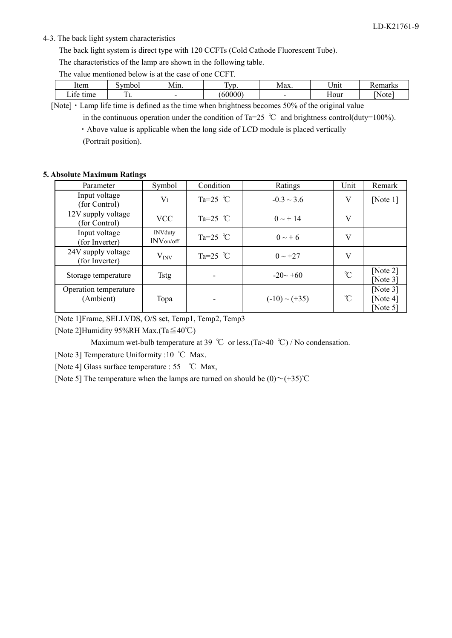#### 4-3. The back light system characteristics

The back light system is direct type with 120 CCFTs (Cold Cathode Fluorescent Tube).

The characteristics of the lamp are shown in the following table.

The value mentioned below is at the case of one CCFT.

| ltem        | iymbol   | Vlın | –<br>$V$ r<br>'ω.           | May                      | $\sim$ $\sim$<br>'nn |          |
|-------------|----------|------|-----------------------------|--------------------------|----------------------|----------|
| $\sim$<br>. | –<br>. . |      | $\sim$ $\sim$ $\sim$ $\sim$ | $\overline{\phantom{a}}$ | - -<br>Hour          | Ωte<br>w |

[Note]  $\cdot$  Lamp life time is defined as the time when brightness becomes 50% of the original value

in the continuous operation under the condition of Ta=25  $\degree$ C and brightness control(duty=100%).

Above value is applicable when the long side of LCD module is placed vertically

(Portrait position).

#### **5. Absolute Maximum Ratings**

| Parameter                            | Symbol                                    | Condition          | Ratings            | Unit          | Remark                                    |
|--------------------------------------|-------------------------------------------|--------------------|--------------------|---------------|-------------------------------------------|
| Input voltage<br>(for Control)       | Vī                                        | Ta=25 $^{\circ}$ C | $-0.3 \sim 3.6$    | V             | [Note $1$ ]                               |
| 12V supply voltage<br>(for Control)  | <b>VCC</b>                                | Ta=25 $^{\circ}$ C | $0 \sim +14$       | V             |                                           |
| Input voltage<br>(for Inverter)      | <b>INV</b> duty<br>INV <sub>on</sub> /off | Ta=25 $^{\circ}$ C | $0 \sim +6$        | V             |                                           |
| 24V supply voltage<br>(for Inverter) | $V_{INV}$                                 | Ta=25 $^{\circ}$ C | $0 \sim +27$       | V             |                                           |
| Storage temperature                  | <b>Tstg</b>                               |                    | $-20 \sim +60$     | $\mathcal{C}$ | [Note $2$ ]<br>[Note 3]                   |
| Operation temperature<br>(Ambient)   | Topa                                      |                    | $(-10) \sim (+35)$ | $\mathcal{C}$ | [Note $3$ ]<br>[Note $4$ ]<br>[Note $5$ ] |

[Note 1]Frame, SELLVDS, O/S set, Temp1, Temp2, Temp3

[Note 2]Humidity 95%RH Max.(Ta $\leq 40^{\circ}$ C)

Maximum wet-bulb temperature at 39 °C or less.(Ta>40 °C) / No condensation.

[Note 3] Temperature Uniformity :10 °C Max.

[Note 4] Glass surface temperature :  $55\degree$  °C Max,

[Note 5] The temperature when the lamps are turned on should be  $(0) \sim (+35)$ °C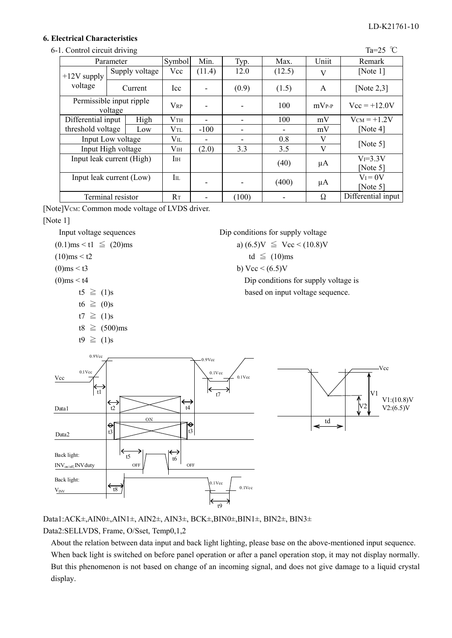#### **6. Electrical Characteristics**

6-1. Control circuit driving  $\arctan 25^\circ \text{C}$ 

|                                     | Parameter |                | Symbol                | Min.   | Typ.  | Max.   | Uniit      | Remark             |
|-------------------------------------|-----------|----------------|-----------------------|--------|-------|--------|------------|--------------------|
| $+12V$ supply                       |           | Supply voltage | Vcc                   | (11.4) | 12.0  | (12.5) | V          | [Note $1$ ]        |
| voltage                             |           | Current        | <b>Icc</b>            |        | (0.9) | (1.5)  | A          | [Note $2,3$ ]      |
| Permissible input ripple<br>voltage |           |                | <b>VRP</b>            |        |       | 100    | $mV_{P-P}$ | $Vec = +12.0V$     |
| Differential input                  |           | High           | $V$ TH                |        |       | 100    | mV         | $V_{CM} = +1.2V$   |
| threshold voltage                   |           | Low            | $\rm V_{TL}$          | $-100$ |       |        | mV         | [Note $4$ ]        |
| Input Low voltage                   |           |                | $V_{IL}$              |        |       | 0.8    | V          | [Note 5]           |
| Input High voltage                  |           |                | V <sub>IH</sub>       | (2.0)  | 3.3   | 3.5    | V          |                    |
| Input leak current (High)           |           |                | Iін                   |        |       | (40)   |            | $V = 3.3V$         |
|                                     |           |                |                       |        |       |        | μA         | [Note $5$ ]        |
| Input leak current (Low)            |           |                | $\overline{\text{I}}$ |        |       | (400)  |            | $V_I = 0V$         |
|                                     |           |                |                       |        |       |        | μA         | [Note $5$ ]        |
| Terminal resistor                   |           |                | $R_{\rm T}$           |        | (100) |        | Ω          | Differential input |

[Note]VCM: Common mode voltage of LVDS driver.

#### [Note 1]



Data1:ACK±,AIN0±,AIN1±, AIN2±, AIN3±, BCK±,BIN0±,BIN1±, BIN2±, BIN3±

Data2:SELLVDS, Frame, O/Sset, Temp0,1,2

About the relation between data input and back light lighting, please base on the above-mentioned input sequence. When back light is switched on before panel operation or after a panel operation stop, it may not display normally. But this phenomenon is not based on change of an incoming signal, and does not give damage to a liquid crystal display.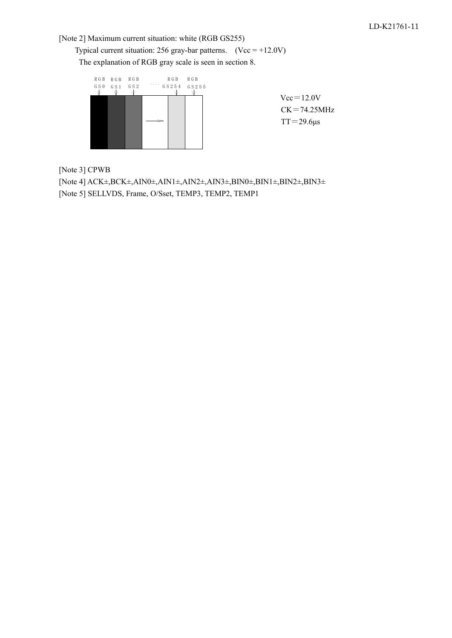#### [Note 2] Maximum current situation: white (RGB GS255)

Typical current situation: 256 gray-bar patterns.  $(Vcc = +12.0V)$ The explanation of RGB gray scale is seen in section 8.



 $Vcc = 12.0V$  $CK = 74.25 MHz$  $TT = 29.6 \mu s$ 

[Note 3] CPWB

[Note 4] ACK±,BCK±,AIN0±,AIN1±,AIN2±,AIN3±,BIN0±,BIN1±,BIN2±,BIN3± [Note 5] SELLVDS, Frame, O/Sset, TEMP3, TEMP2, TEMP1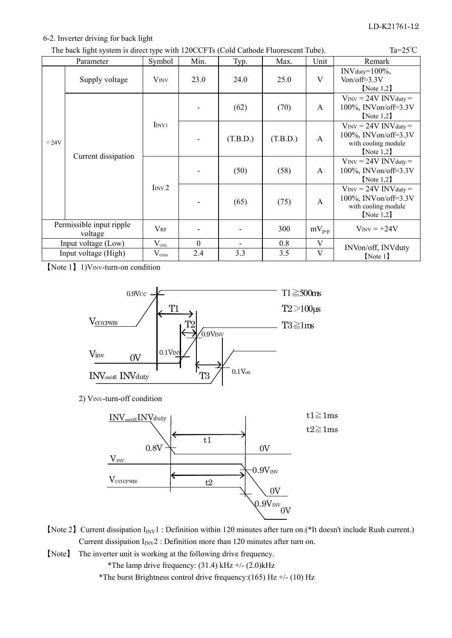#### LD-K21761-12

#### 6-2. Inverter driving for back light

| The back light system is direct type with 120CCFTs (Cold Cathode Fluorescent Tube). | Ta= $25^{\circ}$ C |
|-------------------------------------------------------------------------------------|--------------------|
|-------------------------------------------------------------------------------------|--------------------|

| Parameter                           |                     | Symbol           | Min.     | Typ.     | Max.     | Unit           | Remark                                                                                     |
|-------------------------------------|---------------------|------------------|----------|----------|----------|----------------|--------------------------------------------------------------------------------------------|
|                                     | Supply voltage      | <b>VINV</b>      | 23.0     | 24.0     | 25.0     | $\overline{V}$ | INV duty= $100\%$ ,<br>Von/off= $3.3V$<br>[Note $1,2$ ]                                    |
|                                     |                     |                  |          | (62)     | (70)     | $\mathsf{A}$   | $V_{INV} = 24V$ INV duty =<br>100%, INVon/off=3.3V<br>[Note 1, 2]                          |
| $+24V$                              | Current dissipation | Imv <sub>1</sub> |          | (T.B.D.) | (T.B.D.) | $\mathsf{A}$   | $V_{INV} = 24V$ INV duty =<br>100%, INVon/off=3.3V<br>with cooling module<br>[Note $1,2$ ] |
|                                     |                     |                  |          | (50)     | (58)     | A              | $V_{INV} = 24V$ INV duty =<br>100%, INVon/off=3.3V<br>[Note $1,2$ ]                        |
|                                     |                     | Imv <sub>2</sub> |          | (65)     | (75)     | $\mathsf{A}$   | $V_{INV} = 24V$ INV duty =<br>100%, INVon/off=3.3V<br>with cooling module<br>[Note $1,2$ ] |
| Permissible input ripple<br>voltage |                     | <b>VRF</b>       |          |          | 300      | $mV_{p-p}$     | $V_{\text{INV}} = +24V$                                                                    |
|                                     | Input voltage (Low) | $\rm V_{_{ONL}}$ | $\theta$ |          | 0.8      | $\mathbf{V}$   | INVon/off, INVduty                                                                         |
| Input voltage (High)                |                     | $\rm V_{_{ONH}}$ | 2.4      | 3.3      | 3.5      | $\overline{V}$ | [Note 1]                                                                                   |

ޣNote 1ޤ1(VINV-turn-on condition



2) VINV-turn-off condition



ޣNote 2ޤCurrent dissipation IINV1 : Definition within 120 minutes after turn on.(\*It doesn't include Rush current.) Current dissipation  $I_{\text{INV}}2$  : Definition more than 120 minutes after turn on.

[Note] The inverter unit is working at the following drive frequency.

\*The lamp drive frequency:  $(31.4)$  kHz +/- $(2.0)$ kHz

\*The burst Brightness control drive frequency:(165) Hz  $+/-$ (10) Hz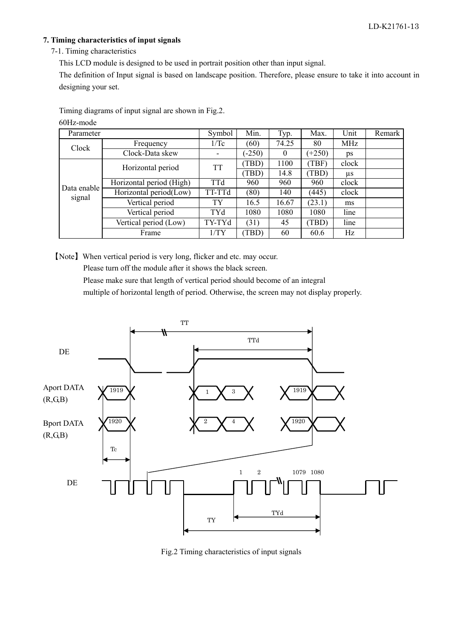#### **7. Timing characteristics of input signals**

#### 7-1. Timing characteristics

This LCD module is designed to be used in portrait position other than input signal.

The definition of Input signal is based on landscape position. Therefore, please ensure to take it into account in designing your set.

Timing diagrams of input signal are shown in Fig.2.

| 60Hz-mode |
|-----------|
|           |

| Parameter   |                          | Symbol     | Min.     | Typ.     | Max.     | Unit  | Remark |
|-------------|--------------------------|------------|----------|----------|----------|-------|--------|
| Clock       | Frequency                | 1/Tc       | (60)     | 74.25    | 80       | MHz   |        |
|             | Clock-Data skew          | -          | $(-250)$ | $\theta$ | $(+250)$ | ps    |        |
|             | Horizontal period        | TT         | TBD)     | 1100     | (TBF)    | clock |        |
|             |                          |            | TBD)     | 14.8     | (TBD)    | μs    |        |
| Data enable | Horizontal period (High) | <b>TTd</b> | 960      | 960      | 960      | clock |        |
| signal      | Horizontal period(Low)   | TT-TTd     | (80)     | 140      | (445)    | clock |        |
|             | Vertical period          | TY         | 16.5     | 16.67    | (23.1)   | ms    |        |
|             | Vertical period          | TYd        | 1080     | 1080     | 1080     | line  |        |
|             | Vertical period (Low)    | TY-TYd     | (31)     | 45       | (TBD)    | line  |        |
|             | Frame                    | 1/TY       | TBD)     | 60       | 60.6     | Hz    |        |

[Note] When vertical period is very long, flicker and etc. may occur.

Please turn off the module after it shows the black screen.

Please make sure that length of vertical period should become of an integral

multiple of horizontal length of period. Otherwise, the screen may not display properly.



Fig.2 Timing characteristics of input signals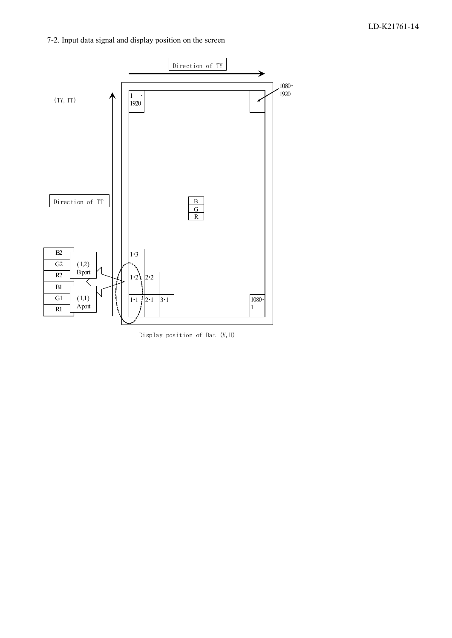7-2. Input data signal and display position on the screen



Display position of Dat  $(V, H)$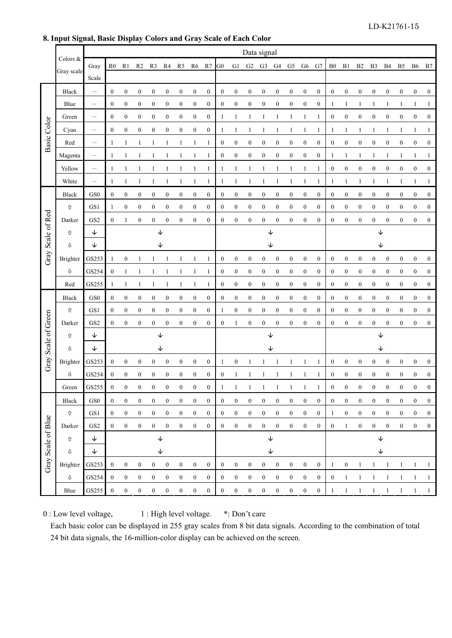|  |  |  | 8. Input Signal, Basic Display Colors and Gray Scale of Each Color |  |  |
|--|--|--|--------------------------------------------------------------------|--|--|
|  |  |  |                                                                    |  |  |

|                     |              |                          |                  |                  |                  |                  |                  |                  |                  |                  |                  |                  |                  | Data signal      |                  |                  |                  |                  |                  |                  |                  |                  |                  |                  |                  |                  |
|---------------------|--------------|--------------------------|------------------|------------------|------------------|------------------|------------------|------------------|------------------|------------------|------------------|------------------|------------------|------------------|------------------|------------------|------------------|------------------|------------------|------------------|------------------|------------------|------------------|------------------|------------------|------------------|
|                     | Colors &     | Gray                     | R <sub>0</sub>   | R <sub>1</sub>   | R <sub>2</sub>   | R <sub>3</sub>   | R4               | R <sub>5</sub>   | R <sub>6</sub>   | R7               | ${\rm G0}$       | G1               | G2               | G <sub>3</sub>   | G <sub>4</sub>   | G <sub>5</sub>   | G <sub>6</sub>   | G7               | B <sub>0</sub>   | B1               | B2               | B <sub>3</sub>   | <b>B4</b>        | B <sub>5</sub>   | <b>B6</b>        | B7               |
|                     | Gray scale   | Scale                    |                  |                  |                  |                  |                  |                  |                  |                  |                  |                  |                  |                  |                  |                  |                  |                  |                  |                  |                  |                  |                  |                  |                  |                  |
|                     | Black        | $\overline{\phantom{0}}$ | $\boldsymbol{0}$ | $\bf{0}$         | $\boldsymbol{0}$ | $\boldsymbol{0}$ | $\boldsymbol{0}$ | $\boldsymbol{0}$ | $\bf{0}$         | $\bf{0}$         | $\boldsymbol{0}$ | $\boldsymbol{0}$ | $\boldsymbol{0}$ | $\boldsymbol{0}$ | $\boldsymbol{0}$ | $\boldsymbol{0}$ | $\bf{0}$         | $\boldsymbol{0}$ | $\boldsymbol{0}$ | $\boldsymbol{0}$ | $\boldsymbol{0}$ | $\boldsymbol{0}$ | $\boldsymbol{0}$ | $\boldsymbol{0}$ | $\boldsymbol{0}$ | $\boldsymbol{0}$ |
|                     | Blue         | $\qquad \qquad -$        | $\boldsymbol{0}$ | $\bf{0}$         | $\boldsymbol{0}$ | $\boldsymbol{0}$ | $\boldsymbol{0}$ | $\boldsymbol{0}$ | $\boldsymbol{0}$ | $\boldsymbol{0}$ | $\boldsymbol{0}$ | $\boldsymbol{0}$ | $\boldsymbol{0}$ | $\boldsymbol{0}$ | $\boldsymbol{0}$ | $\boldsymbol{0}$ | $\boldsymbol{0}$ | $\boldsymbol{0}$ | 1                | 1                | 1                |                  | 1                | 1                | 1                | $\mathbf{1}$     |
|                     | Green        | $\qquad \qquad -$        | $\boldsymbol{0}$ | $\bf{0}$         | $\boldsymbol{0}$ | $\boldsymbol{0}$ | $\boldsymbol{0}$ | $\boldsymbol{0}$ | $\boldsymbol{0}$ | $\boldsymbol{0}$ | 1                | 1                | 1                | 1                | 1                | 1                | 1                | 1                | $\boldsymbol{0}$ | $\boldsymbol{0}$ | $\boldsymbol{0}$ | $\boldsymbol{0}$ | $\boldsymbol{0}$ | $\boldsymbol{0}$ | $\boldsymbol{0}$ | $\bf{0}$         |
| Basic Color         | Cyan         | $\equiv$                 | $\boldsymbol{0}$ | $\boldsymbol{0}$ | $\boldsymbol{0}$ | $\boldsymbol{0}$ | $\boldsymbol{0}$ | $\boldsymbol{0}$ | $\boldsymbol{0}$ | $\boldsymbol{0}$ | $\mathbf{1}$     | $\mathbf{1}$     | 1                | 1                | 1                | 1                | $\mathbf{1}$     | 1                | $\mathbf{1}$     | 1                | $\mathbf{1}$     | 1                | 1                | 1                | 1                | $\mathbf{1}$     |
|                     | Red          | $\qquad \qquad -$        | -1               | 1                | 1                | 1                | 1                | 1                | 1                | 1                | $\boldsymbol{0}$ | $\boldsymbol{0}$ | $\boldsymbol{0}$ | $\boldsymbol{0}$ | $\boldsymbol{0}$ | $\boldsymbol{0}$ | $\boldsymbol{0}$ | $\boldsymbol{0}$ | $\boldsymbol{0}$ | $\boldsymbol{0}$ | $\boldsymbol{0}$ | $\boldsymbol{0}$ | $\bf{0}$         | $\boldsymbol{0}$ | $\boldsymbol{0}$ | $\boldsymbol{0}$ |
|                     | Magenta      | $\overline{\phantom{m}}$ | 1                | $\mathbf{1}$     | 1                | 1                | 1                | 1                | $\mathbf{1}$     | 1                | $\boldsymbol{0}$ | $\boldsymbol{0}$ | $\boldsymbol{0}$ | $\boldsymbol{0}$ | $\boldsymbol{0}$ | $\boldsymbol{0}$ | $\boldsymbol{0}$ | $\boldsymbol{0}$ | 1                | 1                | 1                | 1                | 1                | $\mathbf{1}$     | 1                | $\mathbf{1}$     |
|                     | Yellow       | —                        | -1               | 1                | 1                | 1                | 1                | 1                | 1                | 1                | $\mathbf{1}$     | $\mathbf{1}$     | 1                | 1                | 1                | 1                | 1                | 1                | $\boldsymbol{0}$ | $\boldsymbol{0}$ | $\boldsymbol{0}$ | $\boldsymbol{0}$ | $\boldsymbol{0}$ | $\boldsymbol{0}$ | $\boldsymbol{0}$ | $\boldsymbol{0}$ |
|                     | White        | $\equiv$                 | 1                | 1                | 1                |                  | 1                | 1                | 1                | -1               | 1                | $\mathbf{1}$     | 1                | 1                | 1                | 1                | 1                | 1                | 1                | 1                | 1                | 1                | 1                | 1                | 1                | $\mathbf{1}$     |
|                     | Black        | GS0                      | $\boldsymbol{0}$ | $\boldsymbol{0}$ | $\boldsymbol{0}$ | $\boldsymbol{0}$ | $\boldsymbol{0}$ | $\boldsymbol{0}$ | $\boldsymbol{0}$ | $\boldsymbol{0}$ | $\boldsymbol{0}$ | $\boldsymbol{0}$ | $\boldsymbol{0}$ | $\boldsymbol{0}$ | $\boldsymbol{0}$ | $\boldsymbol{0}$ | $\boldsymbol{0}$ | $\boldsymbol{0}$ | $\boldsymbol{0}$ | $\boldsymbol{0}$ | $\boldsymbol{0}$ | $\boldsymbol{0}$ | $\boldsymbol{0}$ | $\boldsymbol{0}$ | $\boldsymbol{0}$ | $\boldsymbol{0}$ |
|                     | ⇧            | GS1                      | -1               | $\boldsymbol{0}$ | $\boldsymbol{0}$ | $\boldsymbol{0}$ | $\boldsymbol{0}$ | $\boldsymbol{0}$ | $\boldsymbol{0}$ | $\boldsymbol{0}$ | $\boldsymbol{0}$ | $\boldsymbol{0}$ | $\boldsymbol{0}$ | $\boldsymbol{0}$ | $\boldsymbol{0}$ | $\boldsymbol{0}$ | $\boldsymbol{0}$ | $\boldsymbol{0}$ | $\boldsymbol{0}$ | $\boldsymbol{0}$ | $\boldsymbol{0}$ | $\boldsymbol{0}$ | $\boldsymbol{0}$ | $\boldsymbol{0}$ | $\boldsymbol{0}$ | $\boldsymbol{0}$ |
|                     | Darker       | GS <sub>2</sub>          | $\boldsymbol{0}$ | 1                | $\boldsymbol{0}$ | $\boldsymbol{0}$ | $\boldsymbol{0}$ | $\boldsymbol{0}$ | $\boldsymbol{0}$ | $\boldsymbol{0}$ | $\boldsymbol{0}$ | $\boldsymbol{0}$ | $\boldsymbol{0}$ | $\boldsymbol{0}$ | $\boldsymbol{0}$ | $\boldsymbol{0}$ | $\boldsymbol{0}$ | $\boldsymbol{0}$ | $\boldsymbol{0}$ | $\boldsymbol{0}$ | $\boldsymbol{0}$ | $\boldsymbol{0}$ | $\boldsymbol{0}$ | $\boldsymbol{0}$ | $\boldsymbol{0}$ | $\boldsymbol{0}$ |
|                     | ⇧            | $\downarrow$             |                  |                  |                  |                  | ↓                |                  |                  |                  |                  |                  |                  | ↓                |                  |                  |                  |                  |                  |                  |                  | ↓                |                  |                  |                  |                  |
| Gray Scale of Red   | ⇩            | ↓                        |                  |                  |                  |                  | ↓                |                  |                  |                  |                  |                  |                  | ↓                |                  |                  |                  |                  |                  |                  |                  | ↓                |                  |                  |                  |                  |
|                     | Brighter     | GS253                    | 1                | $\bf{0}$         | 1                |                  | 1                | 1                | -1               | 1                | $\boldsymbol{0}$ | $\boldsymbol{0}$ | $\boldsymbol{0}$ | $\boldsymbol{0}$ | $\boldsymbol{0}$ | $\boldsymbol{0}$ | $\boldsymbol{0}$ | $\boldsymbol{0}$ | $\boldsymbol{0}$ | $\boldsymbol{0}$ | $\boldsymbol{0}$ | $\boldsymbol{0}$ | $\boldsymbol{0}$ | $\boldsymbol{0}$ | $\boldsymbol{0}$ | $\bf{0}$         |
|                     | $\mathbb Q$  | GS254                    | $\boldsymbol{0}$ | $\mathbf{1}$     | 1                | 1                | 1                | 1                | $\mathbf{1}$     | 1                | $\boldsymbol{0}$ | $\boldsymbol{0}$ | $\boldsymbol{0}$ | $\boldsymbol{0}$ | $\boldsymbol{0}$ | $\boldsymbol{0}$ | $\boldsymbol{0}$ | $\boldsymbol{0}$ | $\boldsymbol{0}$ | $\boldsymbol{0}$ | $\boldsymbol{0}$ | $\boldsymbol{0}$ | $\boldsymbol{0}$ | $\boldsymbol{0}$ | $\boldsymbol{0}$ | $\boldsymbol{0}$ |
|                     | Red          | GS255                    | 1                | $\mathbf{1}$     | 1                | 1                | 1                | 1                | $\mathbf{1}$     | 1                | $\boldsymbol{0}$ | $\boldsymbol{0}$ | $\boldsymbol{0}$ | $\boldsymbol{0}$ | $\boldsymbol{0}$ | $\boldsymbol{0}$ | $\boldsymbol{0}$ | $\boldsymbol{0}$ | $\boldsymbol{0}$ | $\boldsymbol{0}$ | $\boldsymbol{0}$ | $\boldsymbol{0}$ | $\boldsymbol{0}$ | $\boldsymbol{0}$ | $\boldsymbol{0}$ | $\boldsymbol{0}$ |
|                     | Black        | GS0                      | $\boldsymbol{0}$ | $\boldsymbol{0}$ | $\boldsymbol{0}$ | $\boldsymbol{0}$ | $\boldsymbol{0}$ | $\boldsymbol{0}$ | $\boldsymbol{0}$ | $\boldsymbol{0}$ | $\boldsymbol{0}$ | $\boldsymbol{0}$ | $\boldsymbol{0}$ | $\boldsymbol{0}$ | $\boldsymbol{0}$ | $\boldsymbol{0}$ | $\boldsymbol{0}$ | $\boldsymbol{0}$ | $\boldsymbol{0}$ | $\boldsymbol{0}$ | $\boldsymbol{0}$ | $\boldsymbol{0}$ | $\boldsymbol{0}$ | $\boldsymbol{0}$ | $\boldsymbol{0}$ | $\boldsymbol{0}$ |
|                     | ⇧            | GS1                      | $\boldsymbol{0}$ | $\boldsymbol{0}$ | $\boldsymbol{0}$ | $\boldsymbol{0}$ | $\boldsymbol{0}$ | $\boldsymbol{0}$ | $\boldsymbol{0}$ | $\boldsymbol{0}$ | 1                | $\boldsymbol{0}$ | $\boldsymbol{0}$ | $\boldsymbol{0}$ | $\boldsymbol{0}$ | $\boldsymbol{0}$ | $\boldsymbol{0}$ | $\boldsymbol{0}$ | $\boldsymbol{0}$ | $\boldsymbol{0}$ | $\boldsymbol{0}$ | $\boldsymbol{0}$ | $\boldsymbol{0}$ | $\boldsymbol{0}$ | $\boldsymbol{0}$ | $\boldsymbol{0}$ |
| Gray Scale of Green | Darker       | GS <sub>2</sub>          | $\boldsymbol{0}$ | $\boldsymbol{0}$ | $\boldsymbol{0}$ | $\boldsymbol{0}$ | $\boldsymbol{0}$ | $\boldsymbol{0}$ | $\boldsymbol{0}$ | $\boldsymbol{0}$ | $\boldsymbol{0}$ | 1                | $\boldsymbol{0}$ | $\boldsymbol{0}$ | $\boldsymbol{0}$ | $\boldsymbol{0}$ | $\boldsymbol{0}$ | $\boldsymbol{0}$ | $\boldsymbol{0}$ | $\boldsymbol{0}$ | $\boldsymbol{0}$ | $\boldsymbol{0}$ | $\boldsymbol{0}$ | $\boldsymbol{0}$ | $\boldsymbol{0}$ | $\boldsymbol{0}$ |
|                     | ⇧            | ↓                        |                  |                  |                  |                  | ↓                |                  |                  |                  |                  |                  |                  | ↓                |                  |                  |                  |                  |                  |                  |                  | ↓                |                  |                  |                  |                  |
|                     | ⇩            | ↓                        |                  |                  |                  |                  | ↓                |                  |                  |                  |                  |                  |                  | ↓                |                  |                  |                  |                  |                  |                  |                  | ↓                |                  |                  |                  |                  |
|                     | Brighter     | GS253                    | $\boldsymbol{0}$ | $\boldsymbol{0}$ | $\boldsymbol{0}$ | $\boldsymbol{0}$ | $\boldsymbol{0}$ | $\boldsymbol{0}$ | $\boldsymbol{0}$ | $\boldsymbol{0}$ | 1                | $\boldsymbol{0}$ | 1                | 1                | -1               | 1                | 1                | 1                | $\boldsymbol{0}$ | $\boldsymbol{0}$ | $\boldsymbol{0}$ | 0                | $\boldsymbol{0}$ | $\boldsymbol{0}$ | $\boldsymbol{0}$ | $\boldsymbol{0}$ |
|                     | ⇩            | GS254                    | $\boldsymbol{0}$ | $\boldsymbol{0}$ | $\bf{0}$         | $\boldsymbol{0}$ | $\boldsymbol{0}$ | $\boldsymbol{0}$ | $\boldsymbol{0}$ | $\boldsymbol{0}$ | $\boldsymbol{0}$ | 1                | 1                | 1                | 1                | 1                | 1                | 1                | $\boldsymbol{0}$ | $\boldsymbol{0}$ | $\boldsymbol{0}$ | 0                | $\boldsymbol{0}$ | $\boldsymbol{0}$ | $\boldsymbol{0}$ | $\boldsymbol{0}$ |
|                     | Green        | GS255                    | $\boldsymbol{0}$ | $\boldsymbol{0}$ | $\boldsymbol{0}$ | $\boldsymbol{0}$ | $\boldsymbol{0}$ | $\boldsymbol{0}$ | $\boldsymbol{0}$ | $\boldsymbol{0}$ | 1                | 1                | 1                | 1                | 1                | 1                | 1                | 1                | $\boldsymbol{0}$ | $\boldsymbol{0}$ | $\boldsymbol{0}$ | $\boldsymbol{0}$ | $\boldsymbol{0}$ | $\boldsymbol{0}$ | $\boldsymbol{0}$ | $\boldsymbol{0}$ |
|                     | <b>Black</b> | $\operatorname{GS0}$     | $\boldsymbol{0}$ | $\boldsymbol{0}$ | $\mathbf{0}$     | $\boldsymbol{0}$ | $\mathbf{0}$     | $\boldsymbol{0}$ | $\boldsymbol{0}$ | $\overline{0}$   | $\bf{0}$         | $\boldsymbol{0}$ | $\boldsymbol{0}$ | $\boldsymbol{0}$ | $\boldsymbol{0}$ | $\bf{0}$         | $\boldsymbol{0}$ | $\boldsymbol{0}$ | $\bf{0}$         | $\bf{0}$         | $\boldsymbol{0}$ | $\boldsymbol{0}$ | $\bf{0}$         | $\boldsymbol{0}$ | $\boldsymbol{0}$ | $\bf{0}$         |
|                     | ⇧            | GS1                      | $\bf{0}$         | $\boldsymbol{0}$ | $\boldsymbol{0}$ | $\boldsymbol{0}$ | $\boldsymbol{0}$ | $\boldsymbol{0}$ | $\boldsymbol{0}$ | $\bf{0}$         | $\boldsymbol{0}$ | $\boldsymbol{0}$ | $\boldsymbol{0}$ | $\boldsymbol{0}$ | $\boldsymbol{0}$ | $\boldsymbol{0}$ | $\boldsymbol{0}$ | $\boldsymbol{0}$ | 1                | $\boldsymbol{0}$ | $\boldsymbol{0}$ | $\boldsymbol{0}$ | $\bf{0}$         | $\boldsymbol{0}$ | $\boldsymbol{0}$ | $\bf{0}$         |
|                     | Darker       | GS <sub>2</sub>          | $\boldsymbol{0}$ | $\boldsymbol{0}$ | $\boldsymbol{0}$ | $\boldsymbol{0}$ | $\boldsymbol{0}$ | $\boldsymbol{0}$ | $\boldsymbol{0}$ | $\overline{0}$   | $\boldsymbol{0}$ | $\mathbf{0}$     | $\boldsymbol{0}$ | $\boldsymbol{0}$ | $\boldsymbol{0}$ | $\boldsymbol{0}$ | $\boldsymbol{0}$ | $\boldsymbol{0}$ | $\boldsymbol{0}$ | 1                | $\boldsymbol{0}$ | $\boldsymbol{0}$ | $\bf{0}$         | $\bf{0}$         | $\boldsymbol{0}$ | $\boldsymbol{0}$ |
|                     | ⇧            | ↓                        |                  |                  |                  |                  | ↓                |                  |                  |                  |                  |                  |                  | ↓                |                  |                  |                  |                  |                  |                  |                  | ↓                |                  |                  |                  |                  |
| Gray Scale of Blue  | ⇩            | $\downarrow$             |                  |                  |                  |                  | ↓                |                  |                  |                  |                  |                  |                  | ↓                |                  |                  |                  |                  |                  |                  |                  | ↓                |                  |                  |                  |                  |
|                     | Brighter     | GS253                    | $\bf{0}$         | $\bf{0}$         | $\boldsymbol{0}$ | $\boldsymbol{0}$ | $\boldsymbol{0}$ | $\boldsymbol{0}$ | $\boldsymbol{0}$ | $\boldsymbol{0}$ | $\boldsymbol{0}$ | $\boldsymbol{0}$ | $\boldsymbol{0}$ | $\boldsymbol{0}$ | $\boldsymbol{0}$ | $\boldsymbol{0}$ | $\boldsymbol{0}$ | $\boldsymbol{0}$ | 1                | $\boldsymbol{0}$ | 1                | 1                | $\mathbf{1}$     | $\mathbf{1}$     | $\mathbf{1}$     | $\mathbf{1}$     |
|                     | ⇩            | GS254                    | $\boldsymbol{0}$ | $\bf{0}$         | $\boldsymbol{0}$ | $\boldsymbol{0}$ | $\boldsymbol{0}$ | $\boldsymbol{0}$ | $\boldsymbol{0}$ | $\boldsymbol{0}$ | $\boldsymbol{0}$ | $\boldsymbol{0}$ | $\boldsymbol{0}$ | $\boldsymbol{0}$ | $\boldsymbol{0}$ | $\boldsymbol{0}$ | $\boldsymbol{0}$ | $\boldsymbol{0}$ | $\bf{0}$         | 1                | 1                | 1                | 1                | 1                | 1                | $\mathbf{1}$     |
|                     | Blue         | GS255                    | $\boldsymbol{0}$ | $\bf{0}$         | $\boldsymbol{0}$ | $\boldsymbol{0}$ | $\boldsymbol{0}$ | $\boldsymbol{0}$ | $\boldsymbol{0}$ | $\mathbf{0}$     | $\boldsymbol{0}$ | $\bf{0}$         | $\boldsymbol{0}$ | $\boldsymbol{0}$ | $\mathbf{0}$     | $\boldsymbol{0}$ | $\boldsymbol{0}$ | $\boldsymbol{0}$ | 1                | -1               | -1               | -1               | $\mathbf{1}$     | $\mathbf{1}$     | -1               | $\mathbf{1}$     |

0 : Low level voltage, 1 : High level voltage. \*: Don't care

Each basic color can be displayed in 255 gray scales from 8 bit data signals. According to the combination of total 24 bit data signals, the 16-million-color display can be achieved on the screen.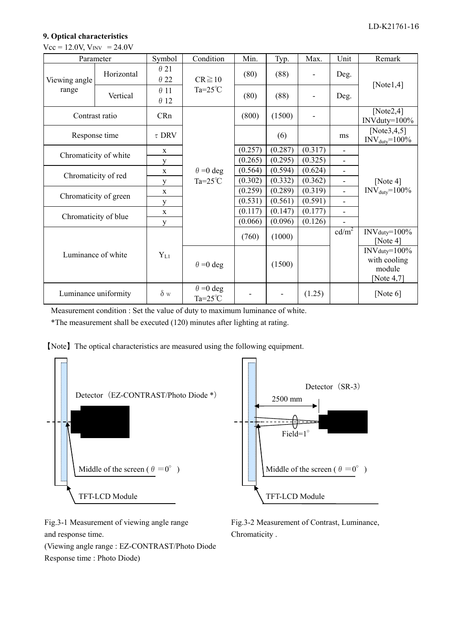#### **9. Optical characteristics**-

|  | $Vcc = 12.0V$ , $V_{INV} = 24.0V$ |
|--|-----------------------------------|
|  |                                   |

| Parameter            |                       | Symbol                     | Condition                              | Min.    | Typ.    | Max.    | Unit                     | Remark                                                         |
|----------------------|-----------------------|----------------------------|----------------------------------------|---------|---------|---------|--------------------------|----------------------------------------------------------------|
| Viewing angle        | Horizontal            | $\theta$ 21<br>$\theta$ 22 | $CR \ge 10$                            | (80)    | (88)    |         | Deg.                     |                                                                |
| range                | Vertical              | $\theta$ 11<br>$\theta$ 12 | Ta= $25^{\circ}$ C                     | (80)    | (88)    |         | Deg.                     | [Note $1,4$ ]                                                  |
|                      | Contrast ratio        | CRn                        |                                        | (800)   | (1500)  |         |                          | [Note $2,4$ ]<br>INVduty=100%                                  |
|                      | Response time         | $\tau$ DRV                 |                                        |         | (6)     |         | ms                       | [Note $3, 4, 5$ ]<br>$INV_{duty}=100\%$                        |
|                      | Chromaticity of white | X                          |                                        | (0.257) | (0.287) | (0.317) | $\overline{\phantom{0}}$ |                                                                |
|                      |                       | y                          |                                        | (0.265) | (0.295) | (0.325) | ۰                        |                                                                |
|                      | Chromaticity of red   | X                          | $\theta = 0$ deg                       | (0.564) | (0.594) | (0.624) |                          |                                                                |
|                      |                       | y                          | Ta= $25^{\circ}$ C                     | (0.302) | (0.332) | (0.362) |                          | [Note 4]                                                       |
|                      | Chromaticity of green | X                          |                                        | (0.259) | (0.289) | (0.319) | $\overline{\phantom{0}}$ | $\mathrm{INV}_{\text{duty}}\!\!=\!\!100\%$                     |
|                      |                       | y                          |                                        | (0.531) | (0.561) | (0.591) | $\overline{\phantom{0}}$ |                                                                |
|                      | Chromaticity of blue  | $\mathbf X$                |                                        | (0.117) | (0.147) | (0.177) | $\blacksquare$           |                                                                |
|                      |                       | y                          |                                        | (0.066) | (0.096) | (0.126) |                          |                                                                |
|                      |                       |                            |                                        | (760)   | (1000)  |         | cd/m <sup>2</sup>        | $INV$ duty= $100\%$<br>[Note $4$ ]                             |
| Luminance of white   |                       | $Y_{L1}$                   | $\theta = 0$ deg                       |         | (1500)  |         |                          | $INV$ duty= $100\%$<br>with cooling<br>module<br>[Note $4,7$ ] |
| Luminance uniformity |                       | $\delta$ w                 | $\theta = 0$ deg<br>Ta= $25^{\circ}$ C |         |         | (1.25)  |                          | [Note $6$ ]                                                    |

Measurement condition : Set the value of duty to maximum luminance of white.

\*The measurement shall be executed (120) minutes after lighting at rating.





Fig.3-1 Measurement of viewing angle range and response time.

(Viewing angle range : EZ-CONTRAST/Photo Diode Response time : Photo Diode)

Fig.3-2 Measurement of Contrast, Luminance, Chromaticity .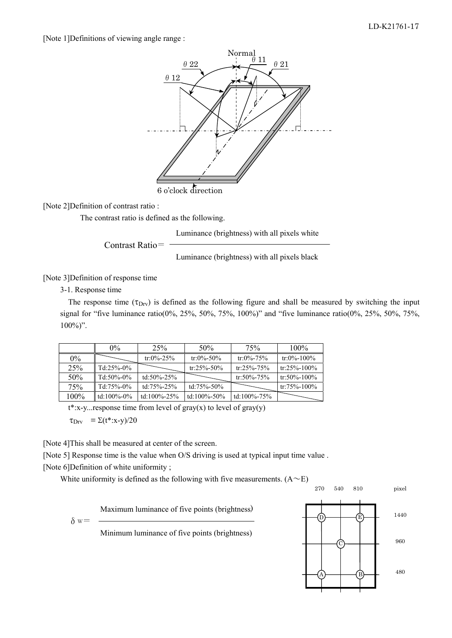[Note 1]Definitions of viewing angle range :



[Note 2]Definition of contrast ratio :

The contrast ratio is defined as the following.

Luminance (brightness) with all pixels white

Contrast Ratio=

Luminance (brightness) with all pixels black

[Note 3]Definition of response time

3-1. Response time

The response time  $(\tau_{\text{Drv}})$  is defined as the following figure and shall be measured by switching the input signal for "five luminance ratio(0%, 25%, 50%, 75%, 100%)" and "five luminance ratio(0%, 25%, 50%, 75%,  $100\%$ ".

|       | $0\%$           | 25%           | 50%               | 75%               | $100\%$            |
|-------|-----------------|---------------|-------------------|-------------------|--------------------|
| $0\%$ |                 | tr:0%-25%     | tr:0%-50%         | tr:0%-75%         | tr:0%-100%         |
| 25%   | $Td:25\% - 0\%$ |               | $tr: 25\% - 50\%$ | $tr: 25\% - 75\%$ | $tr: 25\% - 100\%$ |
| 50%   | $Td:50\% - 0\%$ | td:50%-25%    |                   | tr:50%-75%        | tr:50%-100%        |
| 75%   | $Td:75%-0%$     | td:75%-25%    | td:75%-50%        |                   | tr:75%-100%        |
| 100%  | td:100%-0%      | td:100\%-25\% | td:100\%-50\%     | td:100\%-75\%     |                    |

 $t^*$ :x-y...response time from level of gray(x) to level of gray(y)

 $\tau_{\text{Drv}} = \Sigma(t^*; x-y)/20$ 

[Note 4]This shall be measured at center of the screen.

[Note 5] Response time is the value when O/S driving is used at typical input time value .

[Note 6]Definition of white uniformity ;

White uniformity is defined as the following with five measurements.  $(A \sim E)$ 

 $(A)$  B  $\mathbf C$  $\widehat{D}$  1440 960 480 270 540 810 pixel

 $\delta$  w=

Minimum luminance of five points (brightness)

Maximum luminance of five points (brightness)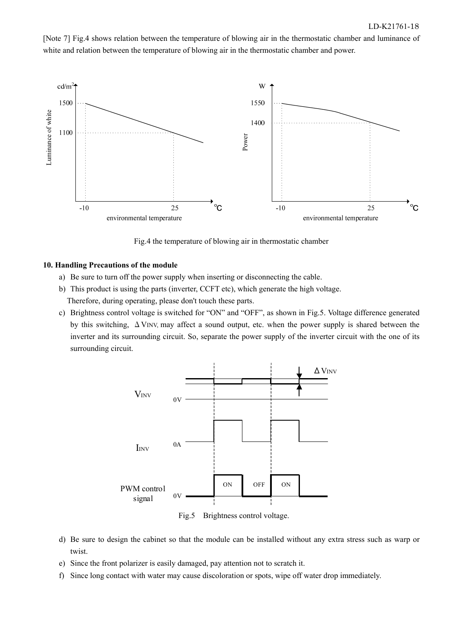

[Note 7] Fig.4 shows relation between the temperature of blowing air in the thermostatic chamber and luminance of white and relation between the temperature of blowing air in the thermostatic chamber and power.

Fig.4 the temperature of blowing air in thermostatic chamber

#### **10. Handling Precautions of the module**

- a) Be sure to turn off the power supply when inserting or disconnecting the cable.
- b) This product is using the parts (inverter, CCFT etc), which generate the high voltage. Therefore, during operating, please don't touch these parts.
- c) Brightness control voltage is switched for "ON" and "OFF", as shown in Fig.5. Voltage difference generated by this switching,  $\Delta$  VINV, may affect a sound output, etc. when the power supply is shared between the inverter and its surrounding circuit. So, separate the power supply of the inverter circuit with the one of its surrounding circuit.



Fig.5 Brightness control voltage.

- d) Be sure to design the cabinet so that the module can be installed without any extra stress such as warp or twist.
- e) Since the front polarizer is easily damaged, pay attention not to scratch it.
- f) Since long contact with water may cause discoloration or spots, wipe off water drop immediately.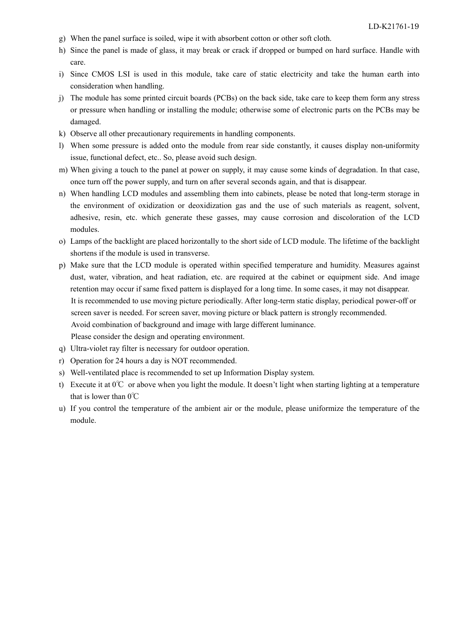- g) When the panel surface is soiled, wipe it with absorbent cotton or other soft cloth.
- h) Since the panel is made of glass, it may break or crack if dropped or bumped on hard surface. Handle with care.
- i) Since CMOS LSI is used in this module, take care of static electricity and take the human earth into consideration when handling.
- j) The module has some printed circuit boards (PCBs) on the back side, take care to keep them form any stress or pressure when handling or installing the module; otherwise some of electronic parts on the PCBs may be damaged.
- k) Observe all other precautionary requirements in handling components.
- l) When some pressure is added onto the module from rear side constantly, it causes display non-uniformity issue, functional defect, etc.. So, please avoid such design.
- m) When giving a touch to the panel at power on supply, it may cause some kinds of degradation. In that case, once turn off the power supply, and turn on after several seconds again, and that is disappear.
- n) When handling LCD modules and assembling them into cabinets, please be noted that long-term storage in the environment of oxidization or deoxidization gas and the use of such materials as reagent, solvent, adhesive, resin, etc. which generate these gasses, may cause corrosion and discoloration of the LCD modules.
- o) Lamps of the backlight are placed horizontally to the short side of LCD module. The lifetime of the backlight shortens if the module is used in transverse.
- p) Make sure that the LCD module is operated within specified temperature and humidity. Measures against dust, water, vibration, and heat radiation, etc. are required at the cabinet or equipment side. And image retention may occur if same fixed pattern is displayed for a long time. In some cases, it may not disappear. It is recommended to use moving picture periodically. After long-term static display, periodical power-off or screen saver is needed. For screen saver, moving picture or black pattern is strongly recommended. Avoid combination of background and image with large different luminance. Please consider the design and operating environment.
- q) Ultra-violet ray filter is necessary for outdoor operation.
- r) Operation for 24 hours a day is NOT recommended.
- s) Well-ventilated place is recommended to set up Information Display system.
- t) Execute it at  $0^{\circ}$  or above when you light the module. It doesn't light when starting lighting at a temperature that is lower than  $0^{\circ}C$
- u) If you control the temperature of the ambient air or the module, please uniformize the temperature of the module.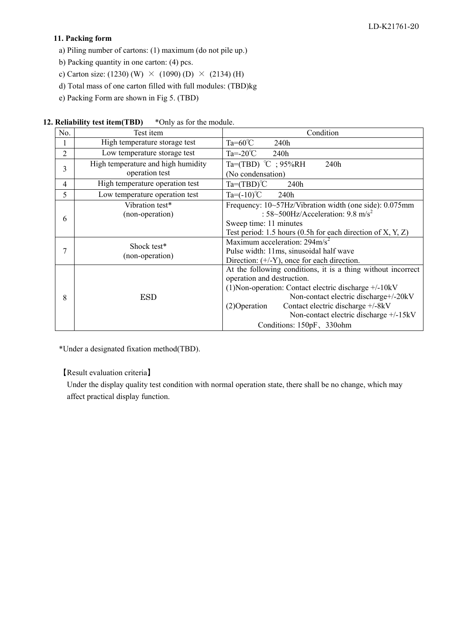#### **11. Packing form**

- a) Piling number of cartons: (1) maximum (do not pile up.)
- b) Packing quantity in one carton: (4) pcs.
- c) Carton size: (1230) (W)  $\times$  (1090) (D)  $\times$  (2134) (H)
- d) Total mass of one carton filled with full modules: (TBD)kg
- e) Packing Form are shown in Fig 5. (TBD)

#### **12. Reliability test item(TBD)** \*Only as for the module.

| No.            | Test item                                            | Condition                                                                                                                                                                                                                                                                                                                       |  |
|----------------|------------------------------------------------------|---------------------------------------------------------------------------------------------------------------------------------------------------------------------------------------------------------------------------------------------------------------------------------------------------------------------------------|--|
|                | High temperature storage test                        | Ta= $60^{\circ}$ C<br>240h                                                                                                                                                                                                                                                                                                      |  |
| $\overline{2}$ | Low temperature storage test                         | $Ta = -20^{\circ}C$<br>240h                                                                                                                                                                                                                                                                                                     |  |
| 3              | High temperature and high humidity<br>operation test | Ta= $(TBD)$ °C ; 95%RH<br>240h<br>(No condensation)                                                                                                                                                                                                                                                                             |  |
| 4              | High temperature operation test                      | $Ta=(TBD)^{\circ}C$<br>240h                                                                                                                                                                                                                                                                                                     |  |
| 5              | Low temperature operation test                       | $Ta = (-10)$ <sup>°</sup> C<br>240h                                                                                                                                                                                                                                                                                             |  |
| 6              | Vibration test*<br>(non-operation)                   | Frequency: 10~57Hz/Vibration width (one side): 0.075mm<br>: 58~500Hz/Acceleration: $9.8 \text{ m/s}^2$<br>Sweep time: 11 minutes<br>Test period: 1.5 hours (0.5h for each direction of $X, Y, Z$ )                                                                                                                              |  |
| 7              | Shock test*<br>(non-operation)                       | Maximum acceleration: $294 \text{m/s}^2$<br>Pulse width: 11ms, sinusoidal half wave<br>Direction: $(+/-Y)$ , once for each direction.                                                                                                                                                                                           |  |
| 8              | <b>ESD</b>                                           | At the following conditions, it is a thing without incorrect<br>operation and destruction.<br>$(1)$ Non-operation: Contact electric discharge $+/-10kV$<br>Non-contact electric discharge+/-20kV<br>Contact electric discharge +/-8kV<br>$(2)$ Operation<br>Non-contact electric discharge +/-15kV<br>Conditions: 150pF, 330ohm |  |

\*Under a designated fixation method(TBD).

#### **[Result evaluation criteria]**

 Under the display quality test condition with normal operation state, there shall be no change, which may affect practical display function.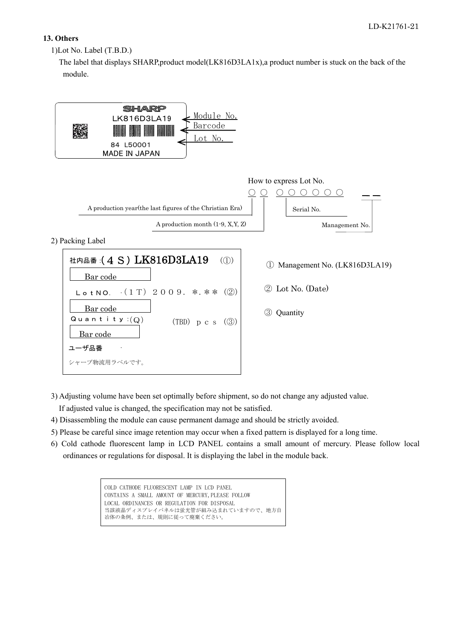#### **13. Others**

1)Lot No. Label (T.B.D.)

The label that displays SHARP,product model(LK816D3LA1x),a product number is stuck on the back of the module.



3) Adjusting volume have been set optimally before shipment, so do not change any adjusted value.

If adjusted value is changed, the specification may not be satisfied.

- 4) Disassembling the module can cause permanent damage and should be strictly avoided.
- 5) Please be careful since image retention may occur when a fixed pattern is displayed for a long time.
- 6) Cold cathode fluorescent lamp in LCD PANEL contains a small amount of mercury. Please follow local ordinances or regulations for disposal. It is displaying the label in the module back.

COLD CATHODE FLUORESCENT LAMP IN LCD PANEL CONTAINS A SMALL AMOUNT OF MERCURY, PLEASE FOLLOW LOCAL ORDINANCES OR REGULATION FOR DISPOSAL 当該液晶ディスプレイパネルは蛍光管が組み込まれていますので、地方自 治体の条例、または、規則に従って廃棄ください。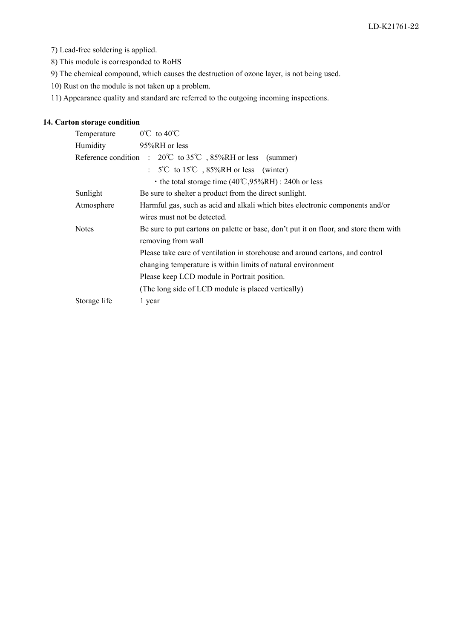- 7) Lead-free soldering is applied.
- 8) This module is corresponded to RoHS
- 9) The chemical compound, which causes the destruction of ozone layer, is not being used.
- 10) Rust on the module is not taken up a problem.
- 11) Appearance quality and standard are referred to the outgoing incoming inspections.

#### **14. Carton storage condition**

|  | Temperature                                                                | $0^{\circ}$ C to 40 $^{\circ}$ C                                                      |
|--|----------------------------------------------------------------------------|---------------------------------------------------------------------------------------|
|  | Humidity                                                                   | 95%RH or less                                                                         |
|  | Reference condition : $20^{\circ}\text{C}$ to 35°C, 85%RH or less (summer) |                                                                                       |
|  |                                                                            | : $5^{\circ}$ C to $15^{\circ}$ C, $85\%$ RH or less (winter)                         |
|  |                                                                            | • the total storage time $(40^{\circ}C, 95\%RH)$ : 240h or less                       |
|  | Sunlight                                                                   | Be sure to shelter a product from the direct sunlight.                                |
|  | Atmosphere                                                                 | Harmful gas, such as acid and alkali which bites electronic components and/or         |
|  |                                                                            | wires must not be detected.                                                           |
|  | <b>Notes</b>                                                               | Be sure to put cartons on palette or base, don't put it on floor, and store them with |
|  |                                                                            | removing from wall                                                                    |
|  |                                                                            | Please take care of ventilation in storehouse and around cartons, and control         |
|  |                                                                            | changing temperature is within limits of natural environment                          |
|  |                                                                            | Please keep LCD module in Portrait position.                                          |
|  |                                                                            | (The long side of LCD module is placed vertically)                                    |
|  | Storage life                                                               | 1 year                                                                                |